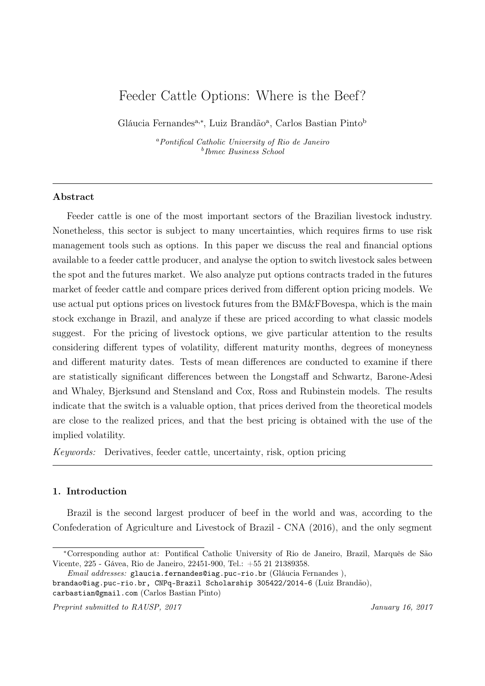# Feeder Cattle Options: Where is the Beef?

Gláucia Fernandes<sup>a,∗</sup>, Luiz Brandão<sup>a</sup>, Carlos Bastian Pinto<sup>b</sup>

<sup>a</sup>Pontifical Catholic University of Rio de Janeiro b Ibmec Business School

## Abstract

Feeder cattle is one of the most important sectors of the Brazilian livestock industry. Nonetheless, this sector is subject to many uncertainties, which requires firms to use risk management tools such as options. In this paper we discuss the real and financial options available to a feeder cattle producer, and analyse the option to switch livestock sales between the spot and the futures market. We also analyze put options contracts traded in the futures market of feeder cattle and compare prices derived from different option pricing models. We use actual put options prices on livestock futures from the BM&FBovespa, which is the main stock exchange in Brazil, and analyze if these are priced according to what classic models suggest. For the pricing of livestock options, we give particular attention to the results considering different types of volatility, different maturity months, degrees of moneyness and different maturity dates. Tests of mean differences are conducted to examine if there are statistically significant differences between the Longstaff and Schwartz, Barone-Adesi and Whaley, Bjerksund and Stensland and Cox, Ross and Rubinstein models. The results indicate that the switch is a valuable option, that prices derived from the theoretical models are close to the realized prices, and that the best pricing is obtained with the use of the implied volatility.

Keywords: Derivatives, feeder cattle, uncertainty, risk, option pricing

### 1. Introduction

Brazil is the second largest producer of beef in the world and was, according to the Confederation of Agriculture and Livestock of Brazil - CNA (2016), and the only segment

<sup>∗</sup>Corresponding author at: Pontifical Catholic University of Rio de Janeiro, Brazil, Marquês de São Vicente, 225 - Gávea, Rio de Janeiro, 22451-900, Tel.: +55 21 21389358.

Email addresses: glaucia.fernandes@iag.puc-rio.br (Gláucia Fernandes ),

brandao@iag.puc-rio.br, CNPq-Brazil Scholarship 305422/2014-6 (Luiz Brandão), carbastian@gmail.com (Carlos Bastian Pinto)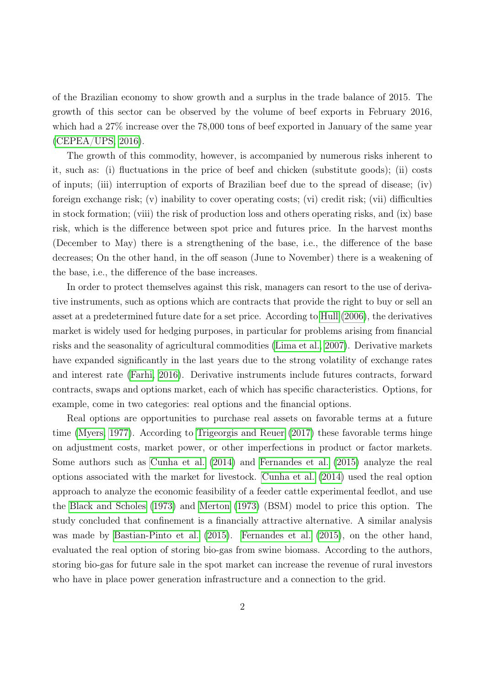of the Brazilian economy to show growth and a surplus in the trade balance of 2015. The growth of this sector can be observed by the volume of beef exports in February 2016, which had a 27% increase over the 78,000 tons of beef exported in January of the same year [\(CEPEA/UPS, 2016\)](#page-23-0).

The growth of this commodity, however, is accompanied by numerous risks inherent to it, such as: (i) fluctuations in the price of beef and chicken (substitute goods); (ii) costs of inputs; (iii) interruption of exports of Brazilian beef due to the spread of disease; (iv) foreign exchange risk; (v) inability to cover operating costs; (vi) credit risk; (vii) difficulties in stock formation; (viii) the risk of production loss and others operating risks, and (ix) base risk, which is the difference between spot price and futures price. In the harvest months (December to May) there is a strengthening of the base, i.e., the difference of the base decreases; On the other hand, in the off season (June to November) there is a weakening of the base, i.e., the difference of the base increases.

In order to protect themselves against this risk, managers can resort to the use of derivative instruments, such as options which are contracts that provide the right to buy or sell an asset at a predetermined future date for a set price. According to [Hull](#page-24-0) [\(2006\)](#page-24-0), the derivatives market is widely used for hedging purposes, in particular for problems arising from financial risks and the seasonality of agricultural commodities [\(Lima et al., 2007\)](#page-24-1). Derivative markets have expanded significantly in the last years due to the strong volatility of exchange rates and interest rate [\(Farhi, 2016\)](#page-23-1). Derivative instruments include futures contracts, forward contracts, swaps and options market, each of which has specific characteristics. Options, for example, come in two categories: real options and the financial options.

Real options are opportunities to purchase real assets on favorable terms at a future time [\(Myers, 1977\)](#page-24-2). According to [Trigeorgis and Reuer](#page-25-0) [\(2017\)](#page-25-0) these favorable terms hinge on adjustment costs, market power, or other imperfections in product or factor markets. Some authors such as [Cunha et al.](#page-23-2) [\(2014\)](#page-23-2) and [Fernandes et al.](#page-24-3) [\(2015\)](#page-24-3) analyze the real options associated with the market for livestock. [Cunha et al.](#page-23-2) [\(2014\)](#page-23-2) used the real option approach to analyze the economic feasibility of a feeder cattle experimental feedlot, and use the [Black and Scholes](#page-23-3) [\(1973\)](#page-23-3) and [Merton](#page-24-4) [\(1973\)](#page-24-4) (BSM) model to price this option. The study concluded that confinement is a financially attractive alternative. A similar analysis was made by [Bastian-Pinto et al.](#page-23-4) [\(2015\)](#page-23-4). [Fernandes et al.](#page-24-3) [\(2015\)](#page-24-3), on the other hand, evaluated the real option of storing bio-gas from swine biomass. According to the authors, storing bio-gas for future sale in the spot market can increase the revenue of rural investors who have in place power generation infrastructure and a connection to the grid.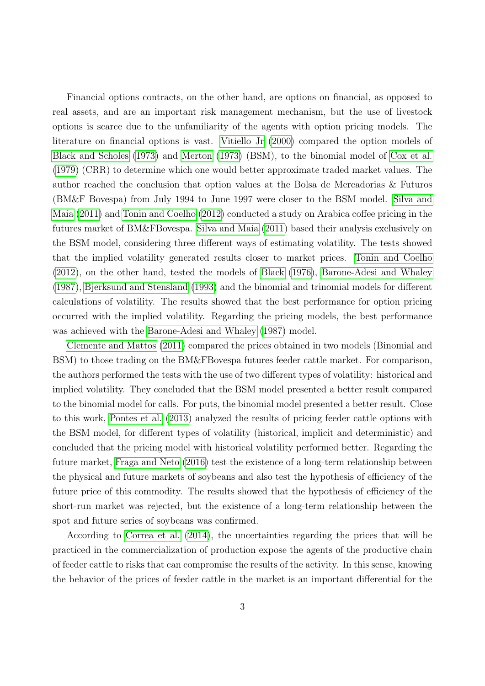Financial options contracts, on the other hand, are options on financial, as opposed to real assets, and are an important risk management mechanism, but the use of livestock options is scarce due to the unfamiliarity of the agents with option pricing models. The literature on financial options is vast. [Vitiello Jr](#page-25-1) [\(2000\)](#page-25-1) compared the option models of [Black and Scholes](#page-23-3) [\(1973\)](#page-23-3) and [Merton](#page-24-4) [\(1973\)](#page-24-4) (BSM), to the binomial model of [Cox et al.](#page-23-5) [\(1979\)](#page-23-5) (CRR) to determine which one would better approximate traded market values. The author reached the conclusion that option values at the Bolsa de Mercadorias & Futuros (BM&F Bovespa) from July 1994 to June 1997 were closer to the BSM model. [Silva and](#page-25-2) [Maia](#page-25-2) [\(2011\)](#page-25-2) and [Tonin and Coelho](#page-25-3) [\(2012\)](#page-25-3) conducted a study on Arabica coffee pricing in the futures market of BM&FBovespa. [Silva and Maia](#page-25-2) [\(2011\)](#page-25-2) based their analysis exclusively on the BSM model, considering three different ways of estimating volatility. The tests showed that the implied volatility generated results closer to market prices. [Tonin and Coelho](#page-25-3) [\(2012\)](#page-25-3), on the other hand, tested the models of [Black](#page-23-6) [\(1976\)](#page-23-6), [Barone-Adesi and Whaley](#page-23-7) [\(1987\)](#page-23-7), [Bjerksund and Stensland](#page-23-8) [\(1993\)](#page-23-8) and the binomial and trinomial models for different calculations of volatility. The results showed that the best performance for option pricing occurred with the implied volatility. Regarding the pricing models, the best performance was achieved with the [Barone-Adesi and Whaley](#page-23-7) [\(1987\)](#page-23-7) model.

[Clemente and Mattos](#page-23-9) [\(2011\)](#page-23-9) compared the prices obtained in two models (Binomial and BSM) to those trading on the BM&FBovespa futures feeder cattle market. For comparison, the authors performed the tests with the use of two different types of volatility: historical and implied volatility. They concluded that the BSM model presented a better result compared to the binomial model for calls. For puts, the binomial model presented a better result. Close to this work, [Pontes et al.](#page-24-5) [\(2013\)](#page-24-5) analyzed the results of pricing feeder cattle options with the BSM model, for different types of volatility (historical, implicit and deterministic) and concluded that the pricing model with historical volatility performed better. Regarding the future market, [Fraga and Neto](#page-24-6) [\(2016\)](#page-24-6) test the existence of a long-term relationship between the physical and future markets of soybeans and also test the hypothesis of efficiency of the future price of this commodity. The results showed that the hypothesis of efficiency of the short-run market was rejected, but the existence of a long-term relationship between the spot and future series of soybeans was confirmed.

According to [Correa et al.](#page-23-10) [\(2014\)](#page-23-10), the uncertainties regarding the prices that will be practiced in the commercialization of production expose the agents of the productive chain of feeder cattle to risks that can compromise the results of the activity. In this sense, knowing the behavior of the prices of feeder cattle in the market is an important differential for the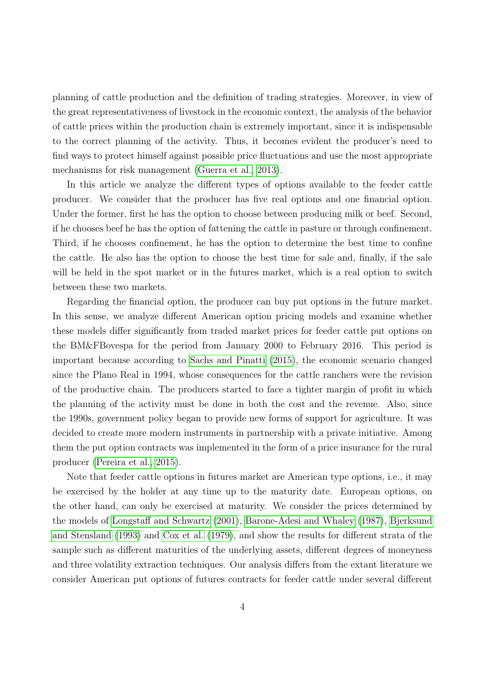planning of cattle production and the definition of trading strategies. Moreover, in view of the great representativeness of livestock in the economic context, the analysis of the behavior of cattle prices within the production chain is extremely important, since it is indispensable to the correct planning of the activity. Thus, it becomes evident the producer's need to find ways to protect himself against possible price fluctuations and use the most appropriate mechanisms for risk management [\(Guerra et al., 2013\)](#page-24-7).

In this article we analyze the different types of options available to the feeder cattle producer. We consider that the producer has five real options and one financial option. Under the former, first he has the option to choose between producing milk or beef. Second, if he chooses beef he has the option of fattening the cattle in pasture or through confinement. Third, if he chooses confinement, he has the option to determine the best time to confine the cattle. He also has the option to choose the best time for sale and, finally, if the sale will be held in the spot market or in the futures market, which is a real option to switch between these two markets.

Regarding the financial option, the producer can buy put options in the future market. In this sense, we analyze different American option pricing models and examine whether these models differ significantly from traded market prices for feeder cattle put options on the BM&FBovespa for the period from January 2000 to February 2016. This period is important because according to [Sachs and Pinatti](#page-24-8) [\(2015\)](#page-24-8), the economic scenario changed since the Plano Real in 1994, whose consequences for the cattle ranchers were the revision of the productive chain. The producers started to face a tighter margin of profit in which the planning of the activity must be done in both the cost and the revenue. Also, since the 1990s, government policy began to provide new forms of support for agriculture. It was decided to create more modern instruments in partnership with a private initiative. Among them the put option contracts was implemented in the form of a price insurance for the rural producer [\(Pereira et al., 2015\)](#page-24-9).

Note that feeder cattle options in futures market are American type options, i.e., it may be exercised by the holder at any time up to the maturity date. European options, on the other hand, can only be exercised at maturity. We consider the prices determined by the models of [Longstaff and Schwartz](#page-24-10) [\(2001\)](#page-24-10), [Barone-Adesi and Whaley](#page-23-7) [\(1987\)](#page-23-7), [Bjerksund](#page-23-8) [and Stensland](#page-23-8) [\(1993\)](#page-23-8) and [Cox et al.](#page-23-5) [\(1979\)](#page-23-5), and show the results for different strata of the sample such as different maturities of the underlying assets, different degrees of moneyness and three volatility extraction techniques. Our analysis differs from the extant literature we consider American put options of futures contracts for feeder cattle under several different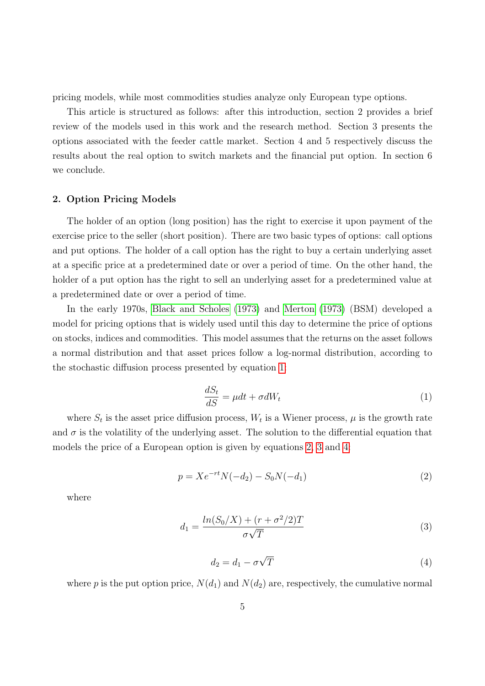pricing models, while most commodities studies analyze only European type options.

This article is structured as follows: after this introduction, section 2 provides a brief review of the models used in this work and the research method. Section 3 presents the options associated with the feeder cattle market. Section 4 and 5 respectively discuss the results about the real option to switch markets and the financial put option. In section 6 we conclude.

# 2. Option Pricing Models

The holder of an option (long position) has the right to exercise it upon payment of the exercise price to the seller (short position). There are two basic types of options: call options and put options. The holder of a call option has the right to buy a certain underlying asset at a specific price at a predetermined date or over a period of time. On the other hand, the holder of a put option has the right to sell an underlying asset for a predetermined value at a predetermined date or over a period of time.

In the early 1970s, [Black and Scholes](#page-23-3) [\(1973\)](#page-23-3) and [Merton](#page-24-4) [\(1973\)](#page-24-4) (BSM) developed a model for pricing options that is widely used until this day to determine the price of options on stocks, indices and commodities. This model assumes that the returns on the asset follows a normal distribution and that asset prices follow a log-normal distribution, according to the stochastic diffusion process presented by equation [1:](#page-4-0)

$$
\frac{dS_t}{dS} = \mu dt + \sigma dW_t \tag{1}
$$

<span id="page-4-1"></span><span id="page-4-0"></span>where  $S_t$  is the asset price diffusion process,  $W_t$  is a Wiener process,  $\mu$  is the growth rate and  $\sigma$  is the volatility of the underlying asset. The solution to the differential equation that models the price of a European option is given by equations [2,](#page-4-1) [3](#page-4-2) and [4:](#page-4-3)

$$
p = Xe^{-rt}N(-d_2) - S_0N(-d_1)
$$
\n(2)

<span id="page-4-2"></span>where

$$
d_1 = \frac{\ln(S_0/X) + (r + \sigma^2/2)T}{\sigma\sqrt{T}}\tag{3}
$$

$$
d_2 = d_1 - \sigma \sqrt{T} \tag{4}
$$

<span id="page-4-3"></span>where p is the put option price,  $N(d_1)$  and  $N(d_2)$  are, respectively, the cumulative normal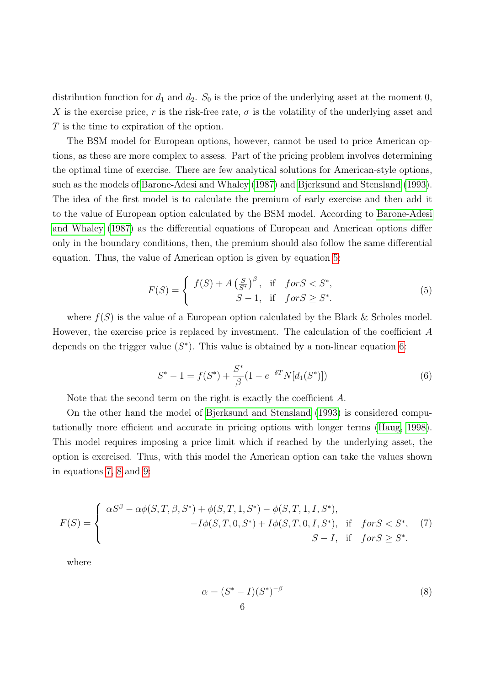distribution function for  $d_1$  and  $d_2$ .  $S_0$  is the price of the underlying asset at the moment 0, X is the exercise price, r is the risk-free rate,  $\sigma$  is the volatility of the underlying asset and T is the time to expiration of the option.

The BSM model for European options, however, cannot be used to price American options, as these are more complex to assess. Part of the pricing problem involves determining the optimal time of exercise. There are few analytical solutions for American-style options, such as the models of [Barone-Adesi and Whaley](#page-23-7) [\(1987\)](#page-23-7) and [Bjerksund and Stensland](#page-23-8) [\(1993\)](#page-23-8). The idea of the first model is to calculate the premium of early exercise and then add it to the value of European option calculated by the BSM model. According to [Barone-Adesi](#page-23-7) [and Whaley](#page-23-7) [\(1987\)](#page-23-7) as the differential equations of European and American options differ only in the boundary conditions, then, the premium should also follow the same differential equation. Thus, the value of American option is given by equation [5:](#page-5-0)

$$
F(S) = \begin{cases} f(S) + A\left(\frac{S}{S^*}\right)^{\beta}, & \text{if } \text{for } S < S^*,\\ S - 1, & \text{if } \text{for } S \ge S^*. \end{cases} \tag{5}
$$

<span id="page-5-1"></span><span id="page-5-0"></span>where  $f(S)$  is the value of a European option calculated by the Black & Scholes model. However, the exercise price is replaced by investment. The calculation of the coefficient A depends on the trigger value  $(S^*)$ . This value is obtained by a non-linear equation [6:](#page-5-1)

$$
S^* - 1 = f(S^*) + \frac{S^*}{\beta} (1 - e^{-\delta T} N[d_1(S^*)])
$$
\n(6)

Note that the second term on the right is exactly the coefficient A.

On the other hand the model of [Bjerksund and Stensland](#page-23-8) [\(1993\)](#page-23-8) is considered computationally more efficient and accurate in pricing options with longer terms [\(Haug, 1998\)](#page-24-11). This model requires imposing a price limit which if reached by the underlying asset, the option is exercised. Thus, with this model the American option can take the values shown in equations [7,](#page-5-2) [8](#page-5-3) and [9:](#page-6-0)

<span id="page-5-2"></span>
$$
F(S) = \begin{cases} \alpha S^{\beta} - \alpha \phi(S, T, \beta, S^*) + \phi(S, T, 1, S^*) - \phi(S, T, 1, I, S^*), \\ -I\phi(S, T, 0, S^*) + I\phi(S, T, 0, I, S^*), & \text{if } \text{for } S < S^*, \\ S - I, & \text{if } \text{for } S \ge S^*. \end{cases} (7)
$$

<span id="page-5-3"></span>where

$$
\alpha = (S^* - I)(S^*)^{-\beta}
$$
\n
$$
\alpha = (S^* - I)(S^*)^{-\beta}
$$
\n
$$
(8)
$$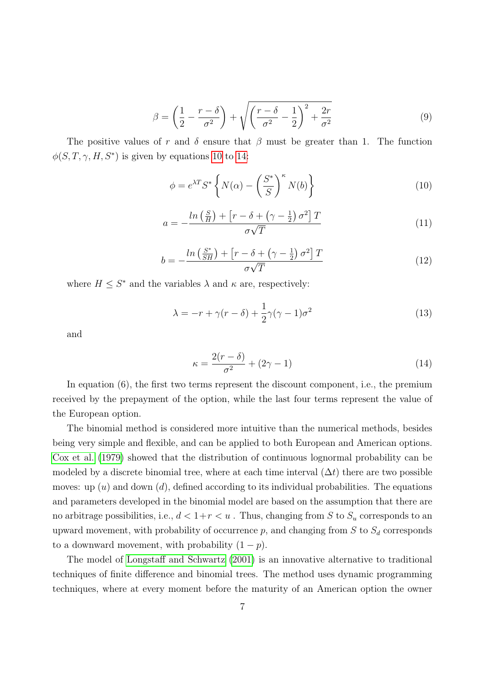$$
\beta = \left(\frac{1}{2} - \frac{r - \delta}{\sigma^2}\right) + \sqrt{\left(\frac{r - \delta}{\sigma^2} - \frac{1}{2}\right)^2 + \frac{2r}{\sigma^2}}
$$
(9)

<span id="page-6-1"></span><span id="page-6-0"></span>The positive values of r and  $\delta$  ensure that  $\beta$  must be greater than 1. The function  $\phi(S, T, \gamma, H, S^*)$  is given by equations [10](#page-6-1) to [14:](#page-6-2)

$$
\phi = e^{\lambda T} S^* \left\{ N(\alpha) - \left( \frac{S^*}{S} \right)^{\kappa} N(b) \right\} \tag{10}
$$

$$
a = -\frac{\ln\left(\frac{S}{H}\right) + \left[r - \delta + \left(\gamma - \frac{1}{2}\right)\sigma^2\right]T}{\sigma\sqrt{T}}\tag{11}
$$

$$
b = -\frac{\ln\left(\frac{S^*}{SH}\right) + \left[r - \delta + \left(\gamma - \frac{1}{2}\right)\sigma^2\right]T}{\sigma\sqrt{T}}\tag{12}
$$

where  $H \leq S^*$  and the variables  $\lambda$  and  $\kappa$  are, respectively:

$$
\lambda = -r + \gamma(r - \delta) + \frac{1}{2}\gamma(\gamma - 1)\sigma^2 \tag{13}
$$

<span id="page-6-2"></span>and

$$
\kappa = \frac{2(r - \delta)}{\sigma^2} + (2\gamma - 1) \tag{14}
$$

In equation (6), the first two terms represent the discount component, i.e., the premium received by the prepayment of the option, while the last four terms represent the value of the European option.

The binomial method is considered more intuitive than the numerical methods, besides being very simple and flexible, and can be applied to both European and American options. [Cox et al.](#page-23-5) [\(1979\)](#page-23-5) showed that the distribution of continuous lognormal probability can be modeled by a discrete binomial tree, where at each time interval  $(\Delta t)$  there are two possible moves: up  $(u)$  and down  $(d)$ , defined according to its individual probabilities. The equations and parameters developed in the binomial model are based on the assumption that there are no arbitrage possibilities, i.e.,  $d < 1+r < u$ . Thus, changing from S to  $S_u$  corresponds to an upward movement, with probability of occurrence  $p$ , and changing from  $S$  to  $S_d$  corresponds to a downward movement, with probability  $(1 - p)$ .

The model of [Longstaff and Schwartz](#page-24-10) [\(2001\)](#page-24-10) is an innovative alternative to traditional techniques of finite difference and binomial trees. The method uses dynamic programming techniques, where at every moment before the maturity of an American option the owner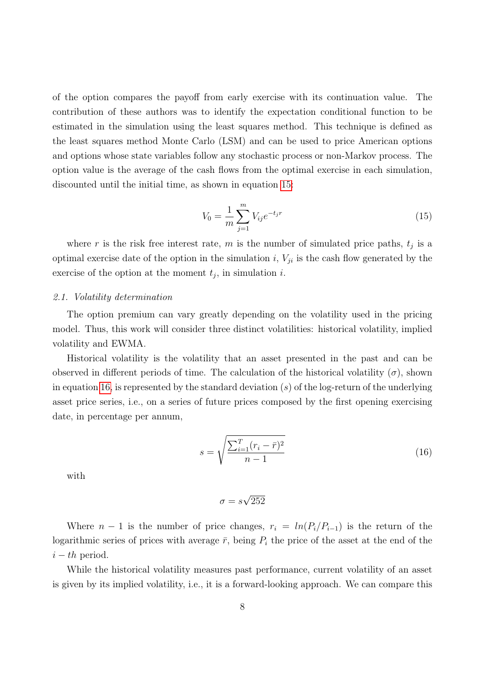of the option compares the payoff from early exercise with its continuation value. The contribution of these authors was to identify the expectation conditional function to be estimated in the simulation using the least squares method. This technique is defined as the least squares method Monte Carlo (LSM) and can be used to price American options and options whose state variables follow any stochastic process or non-Markov process. The option value is the average of the cash flows from the optimal exercise in each simulation, discounted until the initial time, as shown in equation [15:](#page-7-0)

$$
V_0 = \frac{1}{m} \sum_{j=1}^{m} V_{ij} e^{-t_j r}
$$
\n(15)

<span id="page-7-0"></span>where r is the risk free interest rate, m is the number of simulated price paths,  $t_j$  is a optimal exercise date of the option in the simulation  $i, V_{ji}$  is the cash flow generated by the exercise of the option at the moment  $t_j$ , in simulation i.

#### 2.1. Volatility determination

The option premium can vary greatly depending on the volatility used in the pricing model. Thus, this work will consider three distinct volatilities: historical volatility, implied volatility and EWMA.

Historical volatility is the volatility that an asset presented in the past and can be observed in different periods of time. The calculation of the historical volatility  $(\sigma)$ , shown in equation [16,](#page-7-1) is represented by the standard deviation  $(s)$  of the log-return of the underlying asset price series, i.e., on a series of future prices composed by the first opening exercising date, in percentage per annum,

$$
s = \sqrt{\frac{\sum_{i=1}^{T} (r_i - \bar{r})^2}{n - 1}}
$$
\n(16)

<span id="page-7-1"></span>with

$$
\sigma = s\sqrt{252}
$$

Where  $n-1$  is the number of price changes,  $r_i = ln(P_i/P_{i-1})$  is the return of the logarithmic series of prices with average  $\bar{r}$ , being  $P_i$  the price of the asset at the end of the  $i-th$  period.

While the historical volatility measures past performance, current volatility of an asset is given by its implied volatility, i.e., it is a forward-looking approach. We can compare this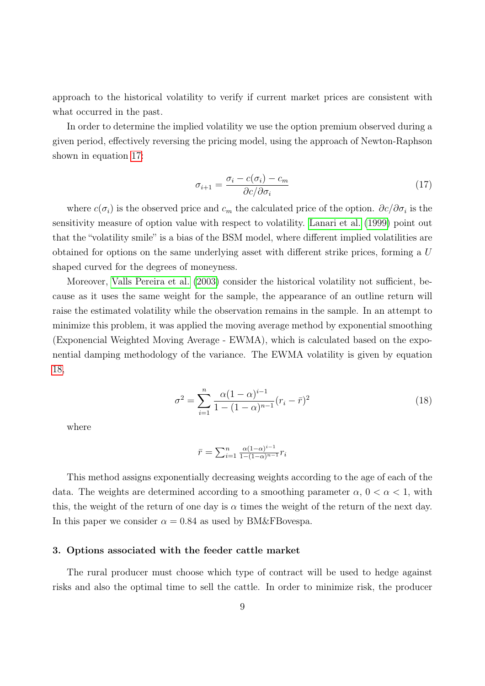approach to the historical volatility to verify if current market prices are consistent with what occurred in the past.

<span id="page-8-0"></span>In order to determine the implied volatility we use the option premium observed during a given period, effectively reversing the pricing model, using the approach of Newton-Raphson shown in equation [17:](#page-8-0)

$$
\sigma_{i+1} = \frac{\sigma_i - c(\sigma_i) - c_m}{\partial c/\partial \sigma_i} \tag{17}
$$

where  $c(\sigma_i)$  is the observed price and  $c_m$  the calculated price of the option.  $\partial c/\partial \sigma_i$  is the sensitivity measure of option value with respect to volatility. [Lanari et al.](#page-24-12) [\(1999\)](#page-24-12) point out that the "volatility smile" is a bias of the BSM model, where different implied volatilities are obtained for options on the same underlying asset with different strike prices, forming a U shaped curved for the degrees of moneyness.

Moreover, [Valls Pereira et al.](#page-25-4) [\(2003\)](#page-25-4) consider the historical volatility not sufficient, because as it uses the same weight for the sample, the appearance of an outline return will raise the estimated volatility while the observation remains in the sample. In an attempt to minimize this problem, it was applied the moving average method by exponential smoothing (Exponencial Weighted Moving Average - EWMA), which is calculated based on the exponential damping methodology of the variance. The EWMA volatility is given by equation [18,](#page-8-1)

$$
\sigma^2 = \sum_{i=1}^n \frac{\alpha (1-\alpha)^{i-1}}{1 - (1-\alpha)^{n-1}} (r_i - \bar{r})^2
$$
\n(18)

<span id="page-8-1"></span>where

$$
\bar{r} = \sum_{i=1}^{n} \frac{\alpha (1-\alpha)^{i-1}}{1 - (1-\alpha)^{n-1}} r_i
$$

This method assigns exponentially decreasing weights according to the age of each of the data. The weights are determined according to a smoothing parameter  $\alpha$ ,  $0 < \alpha < 1$ , with this, the weight of the return of one day is  $\alpha$  times the weight of the return of the next day. In this paper we consider  $\alpha = 0.84$  as used by BM&FBovespa.

### 3. Options associated with the feeder cattle market

The rural producer must choose which type of contract will be used to hedge against risks and also the optimal time to sell the cattle. In order to minimize risk, the producer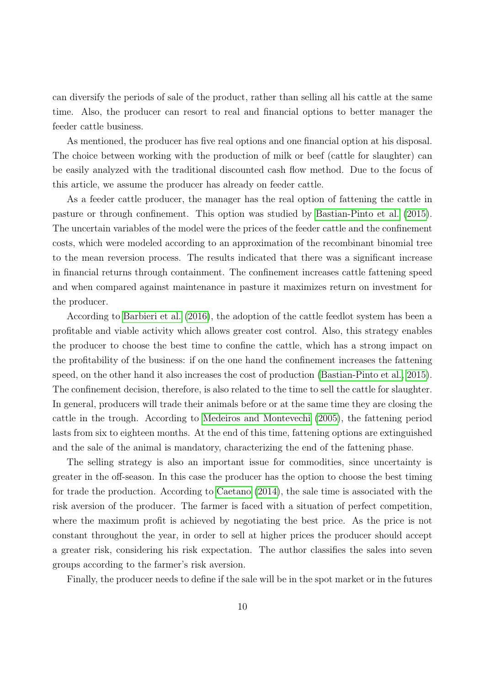can diversify the periods of sale of the product, rather than selling all his cattle at the same time. Also, the producer can resort to real and financial options to better manager the feeder cattle business.

As mentioned, the producer has five real options and one financial option at his disposal. The choice between working with the production of milk or beef (cattle for slaughter) can be easily analyzed with the traditional discounted cash flow method. Due to the focus of this article, we assume the producer has already on feeder cattle.

As a feeder cattle producer, the manager has the real option of fattening the cattle in pasture or through confinement. This option was studied by [Bastian-Pinto et al.](#page-23-4) [\(2015\)](#page-23-4). The uncertain variables of the model were the prices of the feeder cattle and the confinement costs, which were modeled according to an approximation of the recombinant binomial tree to the mean reversion process. The results indicated that there was a significant increase in financial returns through containment. The confinement increases cattle fattening speed and when compared against maintenance in pasture it maximizes return on investment for the producer.

According to [Barbieri et al.](#page-23-11) [\(2016\)](#page-23-11), the adoption of the cattle feedlot system has been a profitable and viable activity which allows greater cost control. Also, this strategy enables the producer to choose the best time to confine the cattle, which has a strong impact on the profitability of the business: if on the one hand the confinement increases the fattening speed, on the other hand it also increases the cost of production [\(Bastian-Pinto et al., 2015\)](#page-23-4). The confinement decision, therefore, is also related to the time to sell the cattle for slaughter. In general, producers will trade their animals before or at the same time they are closing the cattle in the trough. According to [Medeiros and Montevechi](#page-24-13) [\(2005\)](#page-24-13), the fattening period lasts from six to eighteen months. At the end of this time, fattening options are extinguished and the sale of the animal is mandatory, characterizing the end of the fattening phase.

The selling strategy is also an important issue for commodities, since uncertainty is greater in the off-season. In this case the producer has the option to choose the best timing for trade the production. According to [Caetano](#page-23-12) [\(2014\)](#page-23-12), the sale time is associated with the risk aversion of the producer. The farmer is faced with a situation of perfect competition, where the maximum profit is achieved by negotiating the best price. As the price is not constant throughout the year, in order to sell at higher prices the producer should accept a greater risk, considering his risk expectation. The author classifies the sales into seven groups according to the farmer's risk aversion.

Finally, the producer needs to define if the sale will be in the spot market or in the futures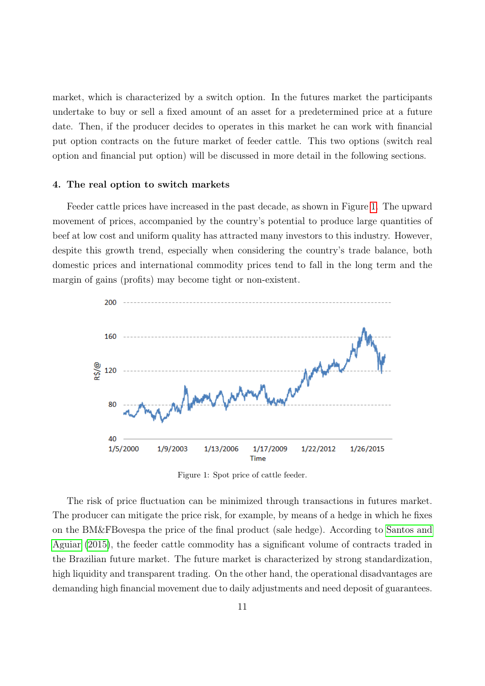market, which is characterized by a switch option. In the futures market the participants undertake to buy or sell a fixed amount of an asset for a predetermined price at a future date. Then, if the producer decides to operates in this market he can work with financial put option contracts on the future market of feeder cattle. This two options (switch real option and financial put option) will be discussed in more detail in the following sections.

#### 4. The real option to switch markets

Feeder cattle prices have increased in the past decade, as shown in Figure [1.](#page-10-0) The upward movement of prices, accompanied by the country's potential to produce large quantities of beef at low cost and uniform quality has attracted many investors to this industry. However, despite this growth trend, especially when considering the country's trade balance, both domestic prices and international commodity prices tend to fall in the long term and the margin of gains (profits) may become tight or non-existent.

<span id="page-10-0"></span>

Figure 1: Spot price of cattle feeder.

The risk of price fluctuation can be minimized through transactions in futures market. The producer can mitigate the price risk, for example, by means of a hedge in which he fixes on the BM&FBovespa the price of the final product (sale hedge). According to [Santos and](#page-24-14) [Aguiar](#page-24-14) [\(2015\)](#page-24-14), the feeder cattle commodity has a significant volume of contracts traded in the Brazilian future market. The future market is characterized by strong standardization, high liquidity and transparent trading. On the other hand, the operational disadvantages are demanding high financial movement due to daily adjustments and need deposit of guarantees.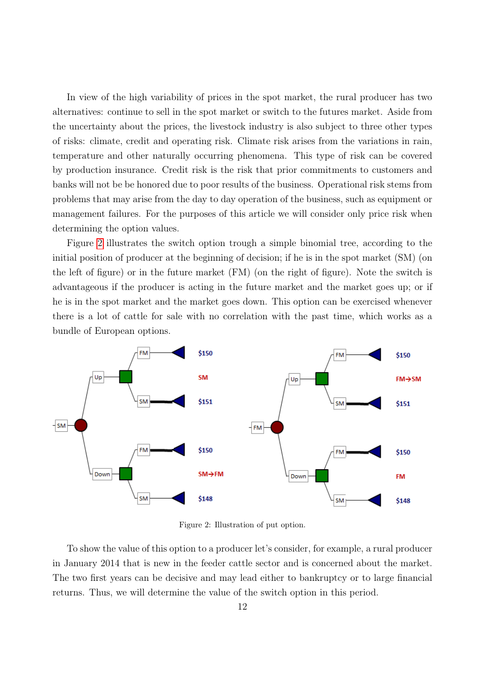In view of the high variability of prices in the spot market, the rural producer has two alternatives: continue to sell in the spot market or switch to the futures market. Aside from the uncertainty about the prices, the livestock industry is also subject to three other types of risks: climate, credit and operating risk. Climate risk arises from the variations in rain, temperature and other naturally occurring phenomena. This type of risk can be covered by production insurance. Credit risk is the risk that prior commitments to customers and banks will not be be honored due to poor results of the business. Operational risk stems from problems that may arise from the day to day operation of the business, such as equipment or management failures. For the purposes of this article we will consider only price risk when determining the option values.

Figure [2](#page-11-0) illustrates the switch option trough a simple binomial tree, according to the initial position of producer at the beginning of decision; if he is in the spot market (SM) (on the left of figure) or in the future market (FM) (on the right of figure). Note the switch is advantageous if the producer is acting in the future market and the market goes up; or if he is in the spot market and the market goes down. This option can be exercised whenever there is a lot of cattle for sale with no correlation with the past time, which works as a bundle of European options.

<span id="page-11-0"></span>

Figure 2: Illustration of put option.

To show the value of this option to a producer let's consider, for example, a rural producer in January 2014 that is new in the feeder cattle sector and is concerned about the market. The two first years can be decisive and may lead either to bankruptcy or to large financial returns. Thus, we will determine the value of the switch option in this period.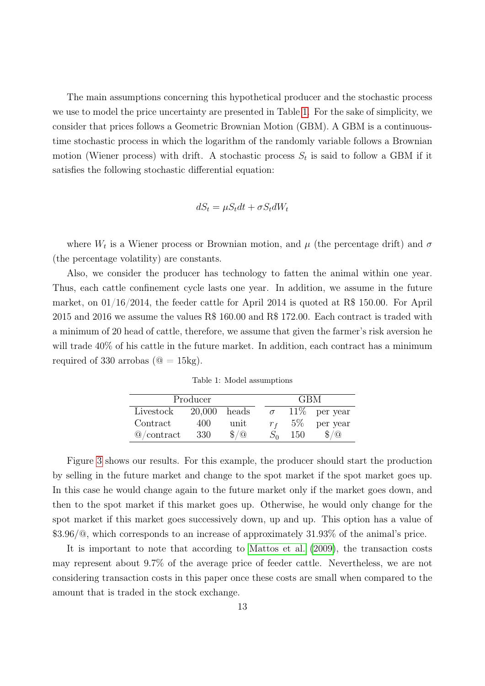The main assumptions concerning this hypothetical producer and the stochastic process we use to model the price uncertainty are presented in Table [1.](#page-12-0) For the sake of simplicity, we consider that prices follows a Geometric Brownian Motion (GBM). A GBM is a continuoustime stochastic process in which the logarithm of the randomly variable follows a Brownian motion (Wiener process) with drift. A stochastic process  $S_t$  is said to follow a GBM if it satisfies the following stochastic differential equation:

$$
dS_t = \mu S_t dt + \sigma S_t dW_t
$$

where  $W_t$  is a Wiener process or Brownian motion, and  $\mu$  (the percentage drift) and  $\sigma$ (the percentage volatility) are constants.

Also, we consider the producer has technology to fatten the animal within one year. Thus, each cattle confinement cycle lasts one year. In addition, we assume in the future market, on  $01/16/2014$ , the feeder cattle for April 2014 is quoted at R\$ 150.00. For April 2015 and 2016 we assume the values R\$ 160.00 and R\$ 172.00. Each contract is traded with a minimum of 20 head of cattle, therefore, we assume that given the farmer's risk aversion he will trade  $40\%$  of his cattle in the future market. In addition, each contract has a minimum required of 330 arrobas ( $\mathcal{Q} = 15 \text{kg}$ ).

Table 1: Model assumptions

<span id="page-12-0"></span>

|                       | Producer       |               | <b>GBM</b> |       |                 |
|-----------------------|----------------|---------------|------------|-------|-----------------|
| Livestock             | $20,000$ heads |               | $\sigma$   |       | $11\%$ per year |
| Contract              | 400            | unit          | $r_{f}$    | $5\%$ | per year        |
| $\circledR$ /contract | 330            | $\frac{1}{2}$ |            | 150   | $\frac{1}{2}$   |

Figure [3](#page-13-0) shows our results. For this example, the producer should start the production by selling in the future market and change to the spot market if the spot market goes up. In this case he would change again to the future market only if the market goes down, and then to the spot market if this market goes up. Otherwise, he would only change for the spot market if this market goes successively down, up and up. This option has a value of \$3.96/@, which corresponds to an increase of approximately 31.93% of the animal's price.

It is important to note that according to [Mattos et al.](#page-24-15) [\(2009\)](#page-24-15), the transaction costs may represent about 9.7% of the average price of feeder cattle. Nevertheless, we are not considering transaction costs in this paper once these costs are small when compared to the amount that is traded in the stock exchange.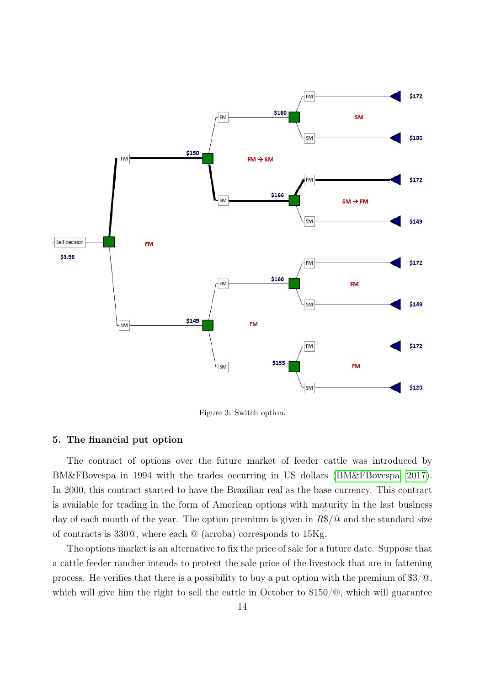<span id="page-13-0"></span>

Figure 3: Switch option.

## 5. The financial put option

The contract of options over the future market of feeder cattle was introduced by BM&FBovespa in 1994 with the trades occurring in US dollars [\(BM&FBovespa, 2017\)](#page-23-13). In 2000, this contract started to have the Brazilian real as the base currency. This contract is available for trading in the form of American options with maturity in the last business day of each month of the year. The option premium is given in  $R\$/\mathcal{Q}$  and the standard size of contracts is 330@, where each @ (arroba) corresponds to 15Kg.

The options market is an alternative to fix the price of sale for a future date. Suppose that a cattle feeder rancher intends to protect the sale price of the livestock that are in fattening process. He verifies that there is a possibility to buy a put option with the premium of  $$3/\text{\textdegree}$ , which will give him the right to sell the cattle in October to \$150/ $\textcircled{a}$ , which will guarantee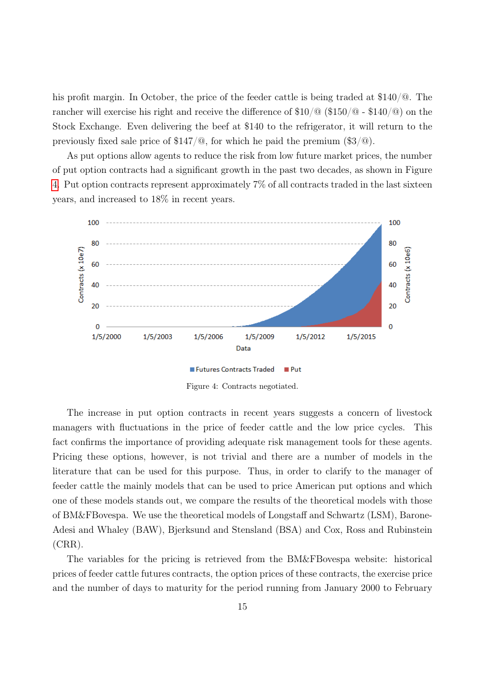his profit margin. In October, the price of the feeder cattle is being traded at \$140/@. The rancher will exercise his right and receive the difference of  $$10/\text{\textdegree} \times 100$  =  $$140/\text{\textdegree}$  on the Stock Exchange. Even delivering the beef at \$140 to the refrigerator, it will return to the previously fixed sale price of  $$147/\text{\textdegree}$ , for which he paid the premium  $$3/\text{\textdegree}$ .

As put options allow agents to reduce the risk from low future market prices, the number of put option contracts had a significant growth in the past two decades, as shown in Figure [4.](#page-14-0) Put option contracts represent approximately 7% of all contracts traded in the last sixteen years, and increased to 18% in recent years.

<span id="page-14-0"></span>

Figure 4: Contracts negotiated.

The increase in put option contracts in recent years suggests a concern of livestock managers with fluctuations in the price of feeder cattle and the low price cycles. This fact confirms the importance of providing adequate risk management tools for these agents. Pricing these options, however, is not trivial and there are a number of models in the literature that can be used for this purpose. Thus, in order to clarify to the manager of feeder cattle the mainly models that can be used to price American put options and which one of these models stands out, we compare the results of the theoretical models with those of BM&FBovespa. We use the theoretical models of Longstaff and Schwartz (LSM), Barone-Adesi and Whaley (BAW), Bjerksund and Stensland (BSA) and Cox, Ross and Rubinstein (CRR).

The variables for the pricing is retrieved from the BM&FBovespa website: historical prices of feeder cattle futures contracts, the option prices of these contracts, the exercise price and the number of days to maturity for the period running from January 2000 to February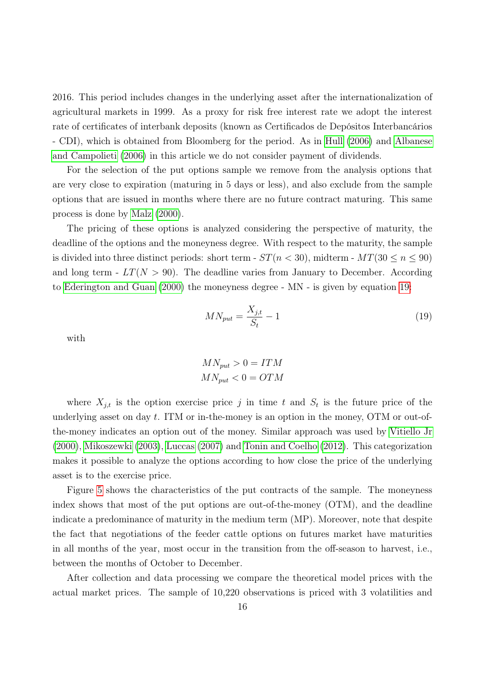2016. This period includes changes in the underlying asset after the internationalization of agricultural markets in 1999. As a proxy for risk free interest rate we adopt the interest rate of certificates of interbank deposits (known as Certificados de Depósitos Interbancários - CDI), which is obtained from Bloomberg for the period. As in [Hull](#page-24-0) [\(2006\)](#page-24-0) and [Albanese](#page-23-14) [and Campolieti](#page-23-14) [\(2006\)](#page-23-14) in this article we do not consider payment of dividends.

For the selection of the put options sample we remove from the analysis options that are very close to expiration (maturing in 5 days or less), and also exclude from the sample options that are issued in months where there are no future contract maturing. This same process is done by [Malz](#page-24-16) [\(2000\)](#page-24-16).

The pricing of these options is analyzed considering the perspective of maturity, the deadline of the options and the moneyness degree. With respect to the maturity, the sample is divided into three distinct periods: short term -  $ST(n < 30)$ , midterm -  $MT(30 \le n \le 90)$ and long term -  $LT(N > 90)$ . The deadline varies from January to December. According to [Ederington and Guan](#page-23-15) [\(2000\)](#page-23-15) the moneyness degree - MN - is given by equation [19:](#page-15-0)

$$
MN_{put} = \frac{X_{j,t}}{S_t} - 1\tag{19}
$$

<span id="page-15-0"></span>with

$$
MN_{put} > 0 = ITM
$$

$$
MN_{put} < 0 = OTM
$$

where  $X_{j,t}$  is the option exercise price j in time t and  $S_t$  is the future price of the underlying asset on day  $t$ . ITM or in-the-money is an option in the money, OTM or out-ofthe-money indicates an option out of the money. Similar approach was used by [Vitiello Jr](#page-25-1) [\(2000\)](#page-25-1), [Mikoszewki](#page-24-17) [\(2003\)](#page-24-17), [Luccas](#page-24-18) [\(2007\)](#page-24-18) and [Tonin and Coelho](#page-25-3) [\(2012\)](#page-25-3). This categorization makes it possible to analyze the options according to how close the price of the underlying asset is to the exercise price.

Figure [5](#page-16-0) shows the characteristics of the put contracts of the sample. The moneyness index shows that most of the put options are out-of-the-money (OTM), and the deadline indicate a predominance of maturity in the medium term (MP). Moreover, note that despite the fact that negotiations of the feeder cattle options on futures market have maturities in all months of the year, most occur in the transition from the off-season to harvest, i.e., between the months of October to December.

After collection and data processing we compare the theoretical model prices with the actual market prices. The sample of 10,220 observations is priced with 3 volatilities and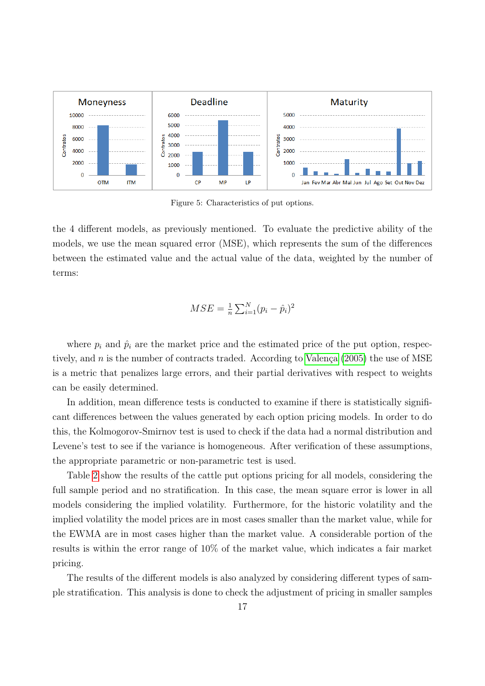<span id="page-16-0"></span>

Figure 5: Characteristics of put options.

the 4 different models, as previously mentioned. To evaluate the predictive ability of the models, we use the mean squared error (MSE), which represents the sum of the differences between the estimated value and the actual value of the data, weighted by the number of terms:

$$
MSE = \frac{1}{n} \sum_{i=1}^{N} (p_i - \hat{p}_i)^2
$$

where  $p_i$  and  $\hat{p}_i$  are the market price and the estimated price of the put option, respectively, and n is the number of contracts traded. According to [Valença](#page-25-5) [\(2005\)](#page-25-5) the use of MSE is a metric that penalizes large errors, and their partial derivatives with respect to weights can be easily determined.

In addition, mean difference tests is conducted to examine if there is statistically significant differences between the values generated by each option pricing models. In order to do this, the Kolmogorov-Smirnov test is used to check if the data had a normal distribution and Levene's test to see if the variance is homogeneous. After verification of these assumptions, the appropriate parametric or non-parametric test is used.

Table [2](#page-19-0) show the results of the cattle put options pricing for all models, considering the full sample period and no stratification. In this case, the mean square error is lower in all models considering the implied volatility. Furthermore, for the historic volatility and the implied volatility the model prices are in most cases smaller than the market value, while for the EWMA are in most cases higher than the market value. A considerable portion of the results is within the error range of 10% of the market value, which indicates a fair market pricing.

The results of the different models is also analyzed by considering different types of sample stratification. This analysis is done to check the adjustment of pricing in smaller samples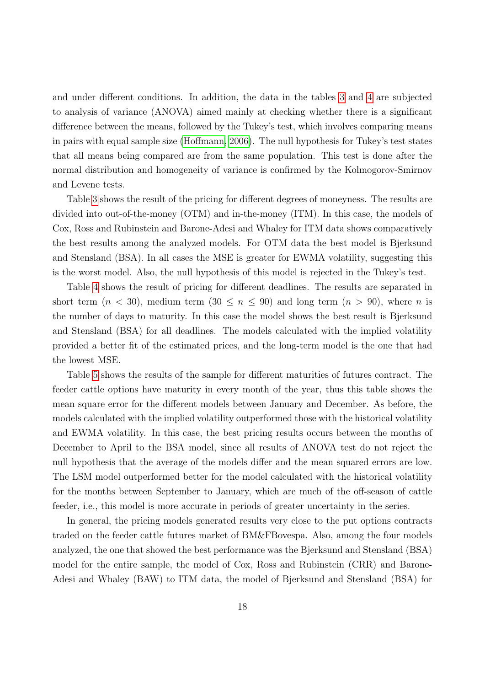and under different conditions. In addition, the data in the tables [3](#page-20-0) and [4](#page-20-1) are subjected to analysis of variance (ANOVA) aimed mainly at checking whether there is a significant difference between the means, followed by the Tukey's test, which involves comparing means in pairs with equal sample size [\(Hoffmann, 2006\)](#page-24-19). The null hypothesis for Tukey's test states that all means being compared are from the same population. This test is done after the normal distribution and homogeneity of variance is confirmed by the Kolmogorov-Smirnov and Levene tests.

Table [3](#page-20-0) shows the result of the pricing for different degrees of moneyness. The results are divided into out-of-the-money (OTM) and in-the-money (ITM). In this case, the models of Cox, Ross and Rubinstein and Barone-Adesi and Whaley for ITM data shows comparatively the best results among the analyzed models. For OTM data the best model is Bjerksund and Stensland (BSA). In all cases the MSE is greater for EWMA volatility, suggesting this is the worst model. Also, the null hypothesis of this model is rejected in the Tukey's test.

Table [4](#page-20-1) shows the result of pricing for different deadlines. The results are separated in short term  $(n < 30)$ , medium term  $(30 \le n \le 90)$  and long term  $(n > 90)$ , where *n* is the number of days to maturity. In this case the model shows the best result is Bjerksund and Stensland (BSA) for all deadlines. The models calculated with the implied volatility provided a better fit of the estimated prices, and the long-term model is the one that had the lowest MSE.

Table [5](#page-21-0) shows the results of the sample for different maturities of futures contract. The feeder cattle options have maturity in every month of the year, thus this table shows the mean square error for the different models between January and December. As before, the models calculated with the implied volatility outperformed those with the historical volatility and EWMA volatility. In this case, the best pricing results occurs between the months of December to April to the BSA model, since all results of ANOVA test do not reject the null hypothesis that the average of the models differ and the mean squared errors are low. The LSM model outperformed better for the model calculated with the historical volatility for the months between September to January, which are much of the off-season of cattle feeder, i.e., this model is more accurate in periods of greater uncertainty in the series.

In general, the pricing models generated results very close to the put options contracts traded on the feeder cattle futures market of BM&FBovespa. Also, among the four models analyzed, the one that showed the best performance was the Bjerksund and Stensland (BSA) model for the entire sample, the model of Cox, Ross and Rubinstein (CRR) and Barone-Adesi and Whaley (BAW) to ITM data, the model of Bjerksund and Stensland (BSA) for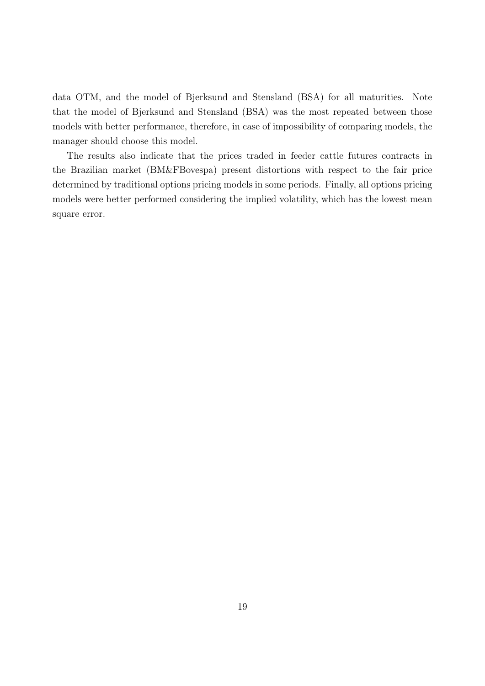data OTM, and the model of Bjerksund and Stensland (BSA) for all maturities. Note that the model of Bjerksund and Stensland (BSA) was the most repeated between those models with better performance, therefore, in case of impossibility of comparing models, the manager should choose this model.

The results also indicate that the prices traded in feeder cattle futures contracts in the Brazilian market (BM&FBovespa) present distortions with respect to the fair price determined by traditional options pricing models in some periods. Finally, all options pricing models were better performed considering the implied volatility, which has the lowest mean square error.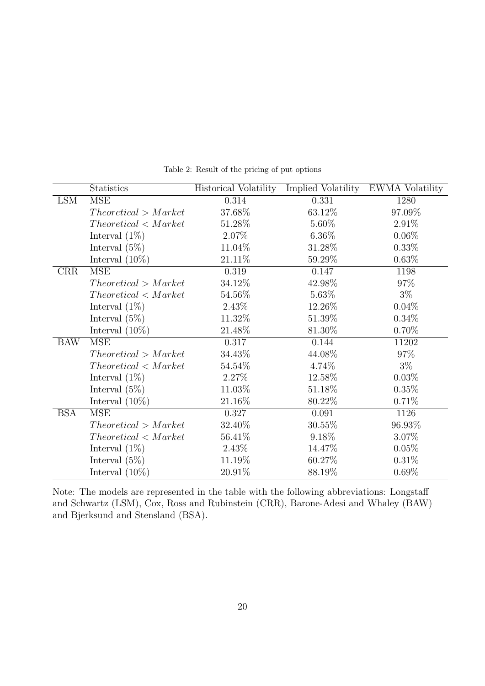<span id="page-19-0"></span>

|            | <b>Statistics</b>    | Historical Volatility | Implied Volatility | <b>EWMA</b> Volatility |
|------------|----------------------|-----------------------|--------------------|------------------------|
| <b>LSM</b> | <b>MSE</b>           | 0.314                 | 0.331              | 1280                   |
|            | Theoretical > Market | 37.68%                | $63.12\%$          | 97.09%                 |
|            | Theoretical < Market | 51.28\%               | 5.60%              | 2.91%                  |
|            | Interval $(1\%)$     | 2.07%                 | $6.36\%$           | $0.06\%$               |
|            | Interval $(5\%)$     | 11.04%                | 31.28%             | $0.33\%$               |
|            | Interval $(10\%)$    | 21.11%                | 59.29%             | 0.63%                  |
| <b>CRR</b> | <b>MSE</b>           | 0.319                 | 0.147              | 1198                   |
|            | Theoretical > Market | 34.12%                | 42.98%             | 97%                    |
|            | Theoretical < Market | 54.56%                | 5.63%              | $3\%$                  |
|            | Interval $(1\%)$     | 2.43\%                | 12.26%             | 0.04%                  |
|            | Interval $(5\%)$     | 11.32\%               | 51.39%             | 0.34%                  |
|            | Interval $(10\%)$    | 21.48%                | 81.30%             | $0.70\%$               |
| <b>BAW</b> | <b>MSE</b>           | 0.317                 | 0.144              | 11202                  |
|            | Theoretical > Market | 34.43%                | 44.08%             | 97%                    |
|            | Theoretical < Market | 54.54\%               | 4.74%              | $3\%$                  |
|            | Interval $(1\%)$     | 2.27%                 | 12.58%             | $0.03\%$               |
|            | Interval $(5\%)$     | 11.03%                | 51.18%             | 0.35%                  |
|            | Interval $(10\%)$    | 21.16%                | 80.22%             | 0.71%                  |
| <b>BSA</b> | <b>MSE</b>           | 0.327                 | 0.091              | 1126                   |
|            | Theoretical > Market | 32.40%                | 30.55%             | 96.93%                 |
|            | Theoretical < Market | 56.41\%               | 9.18%              | 3.07%                  |
|            | Interval $(1\%)$     | 2.43%                 | 14.47%             | 0.05%                  |
|            | Interval $(5\%)$     | 11.19%                | 60.27%             | 0.31%                  |
|            | Interval $(10\%)$    | 20.91%                | 88.19%             | 0.69%                  |

Table 2: Result of the pricing of put options

Note: The models are represented in the table with the following abbreviations: Longstaff and Schwartz (LSM), Cox, Ross and Rubinstein (CRR), Barone-Adesi and Whaley (BAW) and Bjerksund and Stensland (BSA).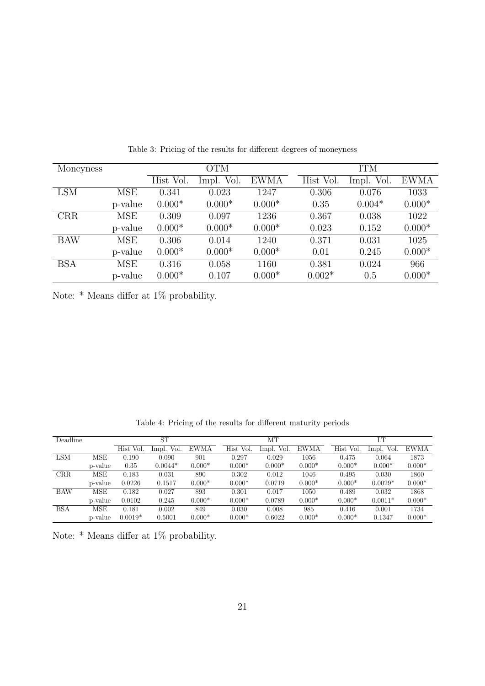<span id="page-20-0"></span>

| Moneyness  |            |           | <b>OTM</b> |             |           | <b>ITM</b> |             |
|------------|------------|-----------|------------|-------------|-----------|------------|-------------|
|            |            | Hist Vol. | Impl. Vol. | <b>EWMA</b> | Hist Vol. | Impl. Vol. | <b>EWMA</b> |
| <b>LSM</b> | MSE        | 0.341     | 0.023      | 1247        | 0.306     | 0.076      | 1033        |
|            | p-value    | $0.000*$  | $0.000*$   | $0.000*$    | 0.35      | $0.004*$   | $0.000*$    |
| <b>CRR</b> | <b>MSE</b> | 0.309     | 0.097      | 1236        | 0.367     | 0.038      | 1022        |
|            | p-value    | $0.000*$  | $0.000*$   | $0.000*$    | 0.023     | 0.152      | $0.000*$    |
| <b>BAW</b> | MSE        | 0.306     | 0.014      | 1240        | 0.371     | 0.031      | 1025        |
|            | p-value    | $0.000*$  | $0.000*$   | $0.000*$    | 0.01      | 0.245      | $0.000*$    |
| <b>BSA</b> | <b>MSE</b> | 0.316     | 0.058      | 1160        | 0.381     | 0.024      | 966         |
|            | p-value    | $0.000*$  | 0.107      | $0.000*$    | $0.002*$  | 0.5        | $0.000*$    |

Table 3: Pricing of the results for different degrees of moneyness

Note: \* Means differ at 1% probability.

|  |  |  | Table 4: Pricing of the results for different maturity periods |  |
|--|--|--|----------------------------------------------------------------|--|
|  |  |  |                                                                |  |

<span id="page-20-1"></span>

| Deadline   |         |           | ST         |          |           | MТ         |          |           | LT         |             |
|------------|---------|-----------|------------|----------|-----------|------------|----------|-----------|------------|-------------|
|            |         | Hist Vol. | Impl. Vol. | EWMA     | Hist Vol. | Impl. Vol. | EWMA     | Hist Vol. | Impl. Vol. | <b>EWMA</b> |
| <b>LSM</b> | MSE     | 0.190     | 0.090      | 901      | 0.297     | 0.029      | 1056     | 0.475     | 0.064      | 1873        |
|            | p-value | 0.35      | $0.0044*$  | $0.000*$ | $0.000*$  | $0.000*$   | $0.000*$ | $0.000*$  | $0.000*$   | $0.000*$    |
| <b>CRR</b> | MSE     | 0.183     | 0.031      | 890      | 0.302     | 0.012      | 1046     | 0.495     | 0.030      | 1860        |
|            | p-value | 0.0226    | 0.1517     | $0.000*$ | $0.000*$  | 0.0719     | $0.000*$ | $0.000*$  | $0.0029*$  | $0.000*$    |
| <b>BAW</b> | MSE     | 0.182     | 0.027      | 893      | 0.301     | 0.017      | 1050     | 0.489     | 0.032      | 1868        |
|            | p-value | 0.0102    | 0.245      | $0.000*$ | $0.000*$  | 0.0789     | $0.000*$ | $0.000*$  | $0.0011*$  | $0.000*$    |
| <b>BSA</b> | MSE     | 0.181     | 0.002      | 849      | 0.030     | 0.008      | 985      | 0.416     | 0.001      | 1734        |
|            | p-value | $0.0019*$ | 0.5001     | $0.000*$ | $0.000*$  | 0.6022     | $0.000*$ | $0.000*$  | 0.1347     | $0.000*$    |

Note: \* Means differ at 1% probability.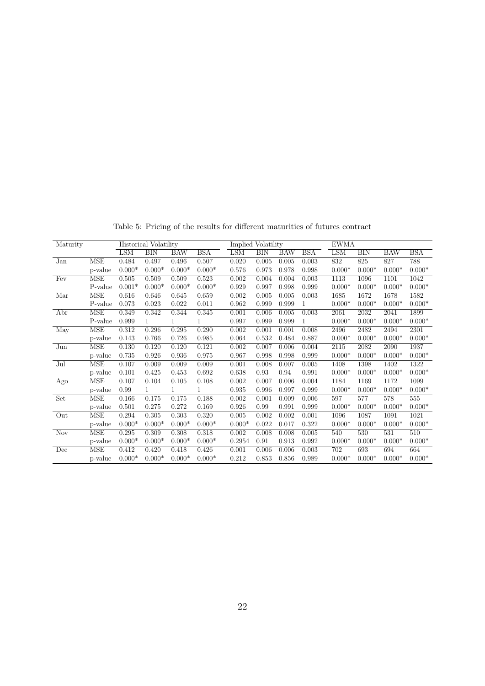<span id="page-21-0"></span>

| Maturity                       |            |            | Historical Volatility |            | Implied Volatility |            |            |            | <b>EWMA</b> |            |            |            |            |
|--------------------------------|------------|------------|-----------------------|------------|--------------------|------------|------------|------------|-------------|------------|------------|------------|------------|
|                                |            | <b>LSM</b> | <b>BIN</b>            | <b>BAW</b> | <b>BSA</b>         | <b>LSM</b> | <b>BIN</b> | <b>BAW</b> | <b>BSA</b>  | <b>LSM</b> | <b>BIN</b> | <b>BAW</b> | <b>BSA</b> |
| Jan                            | <b>MSE</b> | 0.484      | 0.497                 | 0.496      | 0.507              | 0.020      | 0.005      | 0.005      | 0.003       | 832        | 825        | 827        | 788        |
|                                | p-value    | $0.000*$   | $0.000*$              | $0.000*$   | $0.000*$           | 0.576      | 0.973      | 0.978      | 0.998       | $0.000*$   | $0.000*$   | $0.000*$   | $0.000*$   |
| Fev                            | MSE        | 0.505      | 0.509                 | 0.509      | 0.523              | 0.002      | 0.004      | 0.004      | 0.003       | 1113       | 1096       | 1101       | 1042       |
|                                | P-value    | $0.001*$   | $0.000*$              | $0.000*$   | $0.000*$           | 0.929      | 0.997      | 0.998      | 0.999       | $0.000*$   | $0.000*$   | $0.000*$   | $0.000*$   |
| Mar                            | <b>MSE</b> | 0.616      | 0.646                 | 0.645      | 0.659              | 0.002      | 0.005      | 0.005      | 0.003       | 1685       | 1672       | 1678       | 1582       |
|                                | P-value    | 0.073      | 0.023                 | 0.022      | 0.011              | 0.962      | 0.999      | 0.999      | 1           | $0.000*$   | $0.000*$   | $0.000*$   | $0.000*$   |
| Abr                            | MSE        | 0.349      | 0.342                 | 0.344      | 0.345              | 0.001      | 0.006      | 0.005      | 0.003       | 2061       | 2032       | 2041       | 1899       |
|                                | P-value    | 0.999      | $\mathbf{1}$          |            |                    | 0.997      | 0.999      | 0.999      | 1           | $0.000*$   | $0.000*$   | $0.000*$   | $0.000*$   |
| May                            | MSE        | 0.312      | 0.296                 | 0.295      | 0.290              | 0.002      | 0.001      | 0.001      | 0.008       | 2496       | 2482       | 2494       | 2301       |
|                                | p-value    | 0.143      | 0.766                 | 0.726      | 0.985              | 0.064      | 0.532      | 0.484      | 0.887       | $0.000*$   | $0.000*$   | $0.000*$   | $0.000*$   |
| Jun                            | <b>MSE</b> | 0.130      | 0.120                 | 0.120      | 0.121              | 0.002      | 0.007      | 0.006      | 0.004       | 2115       | 2082       | 2090       | 1937       |
|                                | p-value    | 0.735      | 0.926                 | 0.936      | 0.975              | 0.967      | 0.998      | 0.998      | 0.999       | $0.000*$   | $0.000*$   | $0.000*$   | $0.000*$   |
| Jul                            | MSE        | 0.107      | 0.009                 | 0.009      | 0.009              | 0.001      | 0.008      | 0.007      | 0.005       | 1408       | 1398       | 1402       | 1322       |
|                                | p-value    | 0.101      | 0.425                 | 0.453      | 0.692              | 0.638      | 0.93       | 0.94       | 0.991       | $0.000*$   | $0.000*$   | $0.000*$   | $0.000*$   |
| $\overline{\text{A}}\text{go}$ | MSE        | 0.107      | 0.104                 | 0.105      | 0.108              | 0.002      | 0.007      | 0.006      | 0.004       | 1184       | 1169       | 1172       | 1099       |
|                                | p-value    | 0.99       | 1                     |            |                    | 0.935      | 0.996      | 0.997      | 0.999       | $0.000*$   | $0.000*$   | $0.000*$   | $0.000*$   |
| Set                            | MSE        | 0.166      | 0.175                 | 0.175      | 0.188              | 0.002      | 0.001      | 0.009      | 0.006       | 597        | 577        | 578        | 555        |
|                                | p-value    | 0.501      | 0.275                 | 0.272      | 0.169              | 0.926      | 0.99       | 0.991      | 0.999       | $0.000*$   | $0.000*$   | $0.000*$   | $0.000*$   |
| Out                            | <b>MSE</b> | 0.294      | 0.305                 | 0.303      | 0.320              | 0.005      | 0.002      | 0.002      | 0.001       | 1096       | 1087       | 1091       | 1021       |
|                                | p-value    | $0.000*$   | $0.000*$              | $0.000*$   | $0.000*$           | $0.000*$   | 0.022      | 0.017      | 0.322       | $0.000*$   | $0.000*$   | $0.000*$   | $0.000*$   |
| <b>Nov</b>                     | MSE        | 0.295      | 0.309                 | 0.308      | 0.318              | 0.002      | 0.008      | 0.008      | 0.005       | 540        | 530        | 531        | 510        |
|                                | p-value    | $0.000*$   | $0.000*$              | $0.000*$   | $0.000*$           | 0.2954     | 0.91       | 0.913      | 0.992       | $0.000*$   | $0.000*$   | $0.000*$   | $0.000*$   |
| Dec                            | MSE        | 0.412      | 0.420                 | 0.418      | 0.426              | 0.001      | 0.006      | 0.006      | 0.003       | 702        | 693        | 694        | 664        |
|                                | p-value    | $0.000*$   | $0.000*$              | $0.000*$   | $0.000*$           | 0.212      | 0.853      | 0.856      | 0.989       | $0.000*$   | $0.000*$   | $0.000*$   | $0.000*$   |

Table 5: Pricing of the results for different maturities of futures contract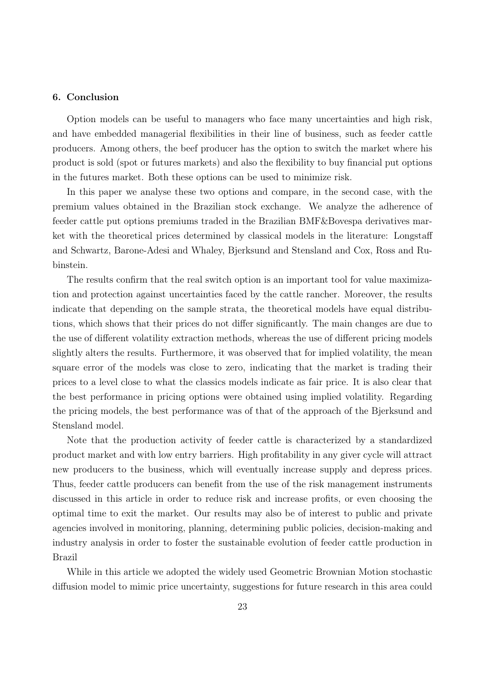## 6. Conclusion

Option models can be useful to managers who face many uncertainties and high risk, and have embedded managerial flexibilities in their line of business, such as feeder cattle producers. Among others, the beef producer has the option to switch the market where his product is sold (spot or futures markets) and also the flexibility to buy financial put options in the futures market. Both these options can be used to minimize risk.

In this paper we analyse these two options and compare, in the second case, with the premium values obtained in the Brazilian stock exchange. We analyze the adherence of feeder cattle put options premiums traded in the Brazilian BMF&Bovespa derivatives market with the theoretical prices determined by classical models in the literature: Longstaff and Schwartz, Barone-Adesi and Whaley, Bjerksund and Stensland and Cox, Ross and Rubinstein.

The results confirm that the real switch option is an important tool for value maximization and protection against uncertainties faced by the cattle rancher. Moreover, the results indicate that depending on the sample strata, the theoretical models have equal distributions, which shows that their prices do not differ significantly. The main changes are due to the use of different volatility extraction methods, whereas the use of different pricing models slightly alters the results. Furthermore, it was observed that for implied volatility, the mean square error of the models was close to zero, indicating that the market is trading their prices to a level close to what the classics models indicate as fair price. It is also clear that the best performance in pricing options were obtained using implied volatility. Regarding the pricing models, the best performance was of that of the approach of the Bjerksund and Stensland model.

Note that the production activity of feeder cattle is characterized by a standardized product market and with low entry barriers. High profitability in any giver cycle will attract new producers to the business, which will eventually increase supply and depress prices. Thus, feeder cattle producers can benefit from the use of the risk management instruments discussed in this article in order to reduce risk and increase profits, or even choosing the optimal time to exit the market. Our results may also be of interest to public and private agencies involved in monitoring, planning, determining public policies, decision-making and industry analysis in order to foster the sustainable evolution of feeder cattle production in Brazil

While in this article we adopted the widely used Geometric Brownian Motion stochastic diffusion model to mimic price uncertainty, suggestions for future research in this area could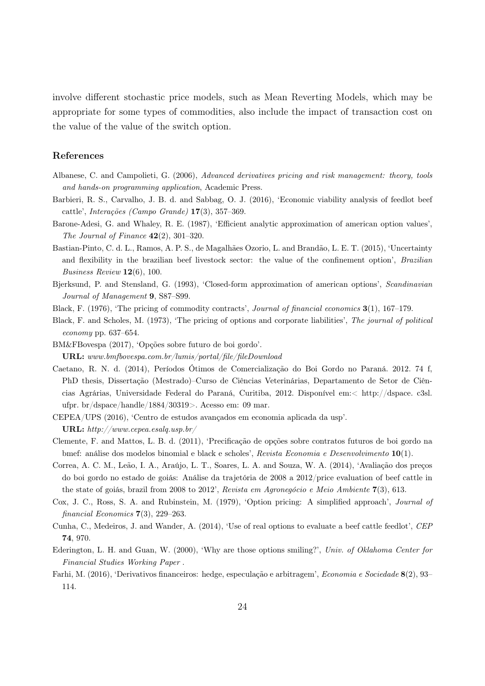involve different stochastic price models, such as Mean Reverting Models, which may be appropriate for some types of commodities, also include the impact of transaction cost on the value of the value of the switch option.

# References

- <span id="page-23-14"></span>Albanese, C. and Campolieti, G. (2006), Advanced derivatives pricing and risk management: theory, tools and hands-on programming application, Academic Press.
- <span id="page-23-11"></span>Barbieri, R. S., Carvalho, J. B. d. and Sabbag, O. J. (2016), 'Economic viability analysis of feedlot beef cattle', Interações (Campo Grande) 17(3), 357–369.
- <span id="page-23-7"></span>Barone-Adesi, G. and Whaley, R. E. (1987), 'Efficient analytic approximation of american option values', The Journal of Finance  $42(2)$ , 301-320.
- <span id="page-23-4"></span>Bastian-Pinto, C. d. L., Ramos, A. P. S., de Magalhães Ozorio, L. and Brandão, L. E. T. (2015), 'Uncertainty and flexibility in the brazilian beef livestock sector: the value of the confinement option', Brazilian Business Review 12(6), 100.
- <span id="page-23-8"></span>Bjerksund, P. and Stensland, G. (1993), 'Closed-form approximation of american options', Scandinavian Journal of Management 9, S87–S99.
- <span id="page-23-6"></span>Black, F. (1976), 'The pricing of commodity contracts', Journal of financial economics 3(1), 167–179.
- <span id="page-23-3"></span>Black, F. and Scholes, M. (1973), 'The pricing of options and corporate liabilities', The journal of political economy pp. 637–654.
- <span id="page-23-13"></span>BM&FBovespa (2017), 'Opções sobre futuro de boi gordo'. URL: www.bmfbovespa.com.br/lumis/portal/file/fileDownload
- <span id="page-23-12"></span>Caetano, R. N. d. (2014), Períodos Ótimos de Comercialização do Boi Gordo no Paraná. 2012. 74 f, PhD thesis, Dissertação (Mestrado)–Curso de Ciências Veterinárias, Departamento de Setor de Ciências Agrárias, Universidade Federal do Paraná, Curitiba, 2012. Disponível em:< http://dspace. c3sl. ufpr. br/dspace/handle/1884/30319>. Acesso em: 09 mar.
- <span id="page-23-0"></span>CEPEA/UPS (2016), 'Centro de estudos avançados em economia aplicada da usp'. URL: http://www.cepea.esalq.usp.br/
- <span id="page-23-9"></span>Clemente, F. and Mattos, L. B. d. (2011), 'Precificação de opções sobre contratos futuros de boi gordo na bmef: análise dos modelos binomial e black e scholes', Revista Economia e Desenvolvimento 10(1).
- <span id="page-23-10"></span>Correa, A. C. M., Leão, I. A., Araújo, L. T., Soares, L. A. and Souza, W. A. (2014), 'Avaliação dos preços do boi gordo no estado de goiás: Análise da trajetória de 2008 a 2012/price evaluation of beef cattle in the state of goiás, brazil from 2008 to 2012', Revista em Agronegócio e Meio Ambiente 7(3), 613.
- <span id="page-23-5"></span>Cox, J. C., Ross, S. A. and Rubinstein, M. (1979), 'Option pricing: A simplified approach', Journal of financial Economics 7(3), 229–263.
- <span id="page-23-2"></span>Cunha, C., Medeiros, J. and Wander, A. (2014), 'Use of real options to evaluate a beef cattle feedlot', CEP 74, 970.
- <span id="page-23-15"></span>Ederington, L. H. and Guan, W. (2000), 'Why are those options smiling?', Univ. of Oklahoma Center for Financial Studies Working Paper .
- <span id="page-23-1"></span>Farhi, M. (2016), 'Derivativos financeiros: hedge, especulação e arbitragem', Economia e Sociedade 8(2), 93– 114.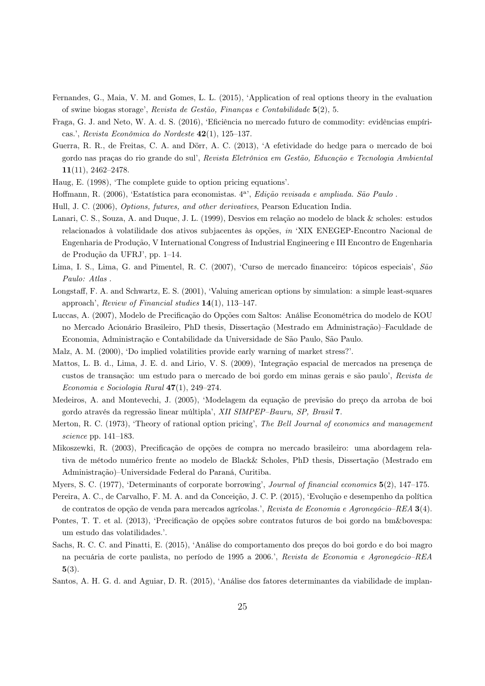- <span id="page-24-3"></span>Fernandes, G., Maia, V. M. and Gomes, L. L. (2015), 'Application of real options theory in the evaluation of swine biogas storage', Revista de Gestão, Finanças e Contabilidade 5(2), 5.
- <span id="page-24-6"></span>Fraga, G. J. and Neto, W. A. d. S. (2016), 'Eficiência no mercado futuro de commodity: evidências empíricas.', Revista Econômica do Nordeste 42(1), 125–137.
- <span id="page-24-7"></span>Guerra, R. R., de Freitas, C. A. and Dörr, A. C. (2013), 'A efetividade do hedge para o mercado de boi gordo nas praças do rio grande do sul', Revista Eletrônica em Gestão, Educação e Tecnologia Ambiental 11(11), 2462–2478.
- <span id="page-24-19"></span><span id="page-24-11"></span>Haug, E. (1998), 'The complete guide to option pricing equations'.
- Hoffmann, R. (2006), 'Estatística para economistas. 4<sup>a</sup>', Edição revisada e ampliada. São Paulo.
- <span id="page-24-12"></span><span id="page-24-0"></span>Hull, J. C. (2006), Options, futures, and other derivatives, Pearson Education India.
- Lanari, C. S., Souza, A. and Duque, J. L. (1999), Desvios em relação ao modelo de black & scholes: estudos relacionados à volatilidade dos ativos subjacentes às opções, in 'XIX ENEGEP-Encontro Nacional de Engenharia de Produção, V International Congress of Industrial Engineering e III Encontro de Engenharia de Produção da UFRJ', pp. 1–14.
- <span id="page-24-1"></span>Lima, I. S., Lima, G. and Pimentel, R. C. (2007), 'Curso de mercado financeiro: tópicos especiais', São Paulo: Atlas .
- <span id="page-24-10"></span>Longstaff, F. A. and Schwartz, E. S. (2001), 'Valuing american options by simulation: a simple least-squares approach', Review of Financial studies 14(1), 113–147.
- <span id="page-24-18"></span>Luccas, A. (2007), Modelo de Precificação do Opções com Saltos: Análise Econométrica do modelo de KOU no Mercado Acionário Brasileiro, PhD thesis, Dissertação (Mestrado em Administração)–Faculdade de Economia, Administração e Contabilidade da Universidade de São Paulo, São Paulo.
- <span id="page-24-16"></span><span id="page-24-15"></span>Malz, A. M. (2000), 'Do implied volatilities provide early warning of market stress?'.
- Mattos, L. B. d., Lima, J. E. d. and Lirio, V. S. (2009), 'Integração espacial de mercados na presença de custos de transação: um estudo para o mercado de boi gordo em minas gerais e são paulo', Revista de Economia e Sociologia Rural 47(1), 249–274.
- <span id="page-24-13"></span>Medeiros, A. and Montevechi, J. (2005), 'Modelagem da equação de previsão do preço da arroba de boi gordo através da regressão linear múltipla', XII SIMPEP–Bauru, SP, Brasil 7.
- <span id="page-24-4"></span>Merton, R. C. (1973), 'Theory of rational option pricing', The Bell Journal of economics and management science pp. 141–183.
- <span id="page-24-17"></span>Mikoszewki, R. (2003), Precificação de opções de compra no mercado brasileiro: uma abordagem relativa de método numérico frente ao modelo de Black& Scholes, PhD thesis, Dissertação (Mestrado em Administração)–Universidade Federal do Paraná, Curitiba.
- <span id="page-24-2"></span>Myers, S. C. (1977), 'Determinants of corporate borrowing', Journal of financial economics  $5(2)$ , 147–175.
- <span id="page-24-9"></span>Pereira, A. C., de Carvalho, F. M. A. and da Conceição, J. C. P. (2015), 'Evolução e desempenho da política de contratos de opção de venda para mercados agrícolas.', Revista de Economia e Agronegócio–REA 3(4).
- <span id="page-24-5"></span>Pontes, T. T. et al. (2013), 'Precificação de opções sobre contratos futuros de boi gordo na bm&bovespa: um estudo das volatilidades.'.
- <span id="page-24-8"></span>Sachs, R. C. C. and Pinatti, E. (2015), 'Análise do comportamento dos preços do boi gordo e do boi magro na pecuária de corte paulista, no período de 1995 a 2006.', Revista de Economia e Agronegócio–REA 5(3).
- <span id="page-24-14"></span>Santos, A. H. G. d. and Aguiar, D. R. (2015), 'Análise dos fatores determinantes da viabilidade de implan-